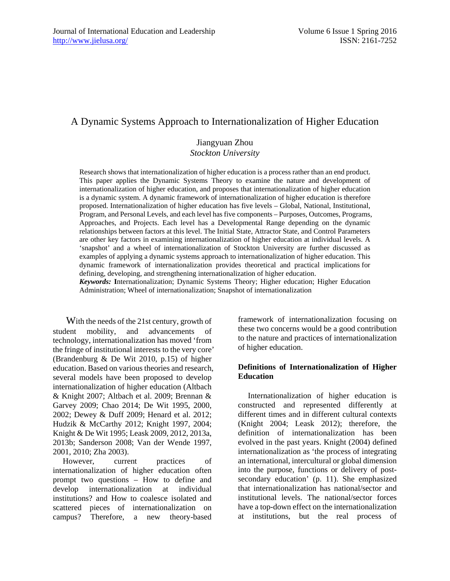# A Dynamic Systems Approach to Internationalization of Higher Education

### Jiangyuan Zhou *Stockton University*

Research shows that internationalization of higher education is a process rather than an end product. This paper applies the Dynamic Systems Theory to examine the nature and development of internationalization of higher education, and proposes that internationalization of higher education is a dynamic system. A dynamic framework of internationalization of higher education is therefore proposed. Internationalization of higher education has five levels – Global, National, Institutional, Program, and Personal Levels, and each level has five components – Purposes, Outcomes, Programs, Approaches, and Projects. Each level has a Developmental Range depending on the dynamic relationships between factors at this level. The Initial State, Attractor State, and Control Parameters are other key factors in examining internationalization of higher education at individual levels. A 'snapshot' and a wheel of internationalization of Stockton University are further discussed as examples of applying a dynamic systems approach to internationalization of higher education. This dynamic framework of internationalization provides theoretical and practical implications for defining, developing, and strengthening internationalization of higher education.

*Keywords:* **I**nternationalization; Dynamic Systems Theory; Higher education; Higher Education Administration; Wheel of internationalization; Snapshot of internationalization

With the needs of the 21st century, growth of student mobility, and advancements of technology, internationalization has moved 'from the fringe of institutional interests to the very core' (Brandenburg & De Wit 2010, p.15) of higher education. Based on various theories and research, several models have been proposed to develop internationalization of higher education (Altbach & Knight 2007; Altbach et al. 2009; Brennan & Garvey 2009; Chao 2014; De Wit 1995, 2000, 2002; Dewey & Duff 2009; Henard et al. 2012; Hudzik & McCarthy 2012; Knight 1997, 2004; Knight & De Wit 1995; Leask 2009, 2012, 2013a, 2013b; Sanderson 2008; Van der Wende 1997, 2001, 2010; Zha 2003).

However, current practices of internationalization of higher education often prompt two questions – How to define and develop internationalization at individual institutions? and How to coalesce isolated and scattered pieces of internationalization on campus? Therefore, a new theory-based

framework of internationalization focusing on these two concerns would be a good contribution to the nature and practices of internationalization of higher education.

#### **Definitions of Internationalization of Higher Education**

Internationalization of higher education is constructed and represented differently at different times and in different cultural contexts (Knight 2004; Leask 2012); therefore, the definition of internationalization has been evolved in the past years. Knight (2004) defined internationalization as 'the process of integrating an international, intercultural or global dimension into the purpose, functions or delivery of postsecondary education' (p. 11). She emphasized that internationalization has national/sector and institutional levels. The national/sector forces have a top-down effect on the internationalization at institutions, but the real process of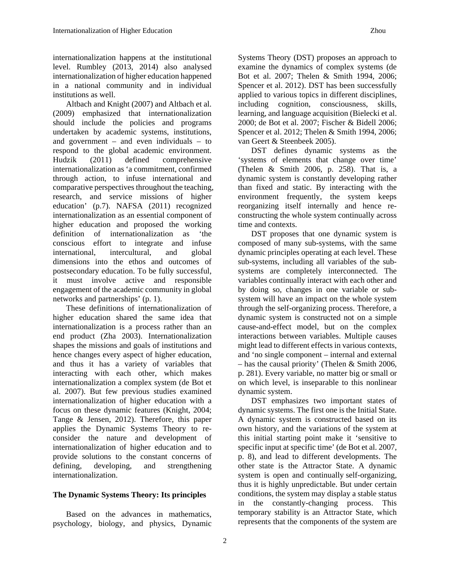internationalization happens at the institutional level. Rumbley (2013, 2014) also analysed internationalization of higher education happened in a national community and in individual institutions as well.

Altbach and Knight (2007) and Altbach et al. (2009) emphasized that internationalization should include the policies and programs undertaken by academic systems, institutions, and government – and even individuals – to respond to the global academic environment. Hudzik (2011) defined comprehensive internationalization as 'a commitment, confirmed through action, to infuse international and comparative perspectives throughout the teaching, research, and service missions of higher education' (p.7). NAFSA (2011) recognized internationalization as an essential component of higher education and proposed the working definition of internationalization as 'the conscious effort to integrate and infuse international, intercultural, and global dimensions into the ethos and outcomes of postsecondary education. To be fully successful, it must involve active and responsible engagement of the academic community in global networks and partnerships' (p. 1).

These definitions of internationalization of higher education shared the same idea that internationalization is a process rather than an end product (Zha 2003). Internationalization shapes the missions and goals of institutions and hence changes every aspect of higher education, and thus it has a variety of variables that interacting with each other, which makes internationalization a complex system (de Bot et al. 2007). But few previous studies examined internationalization of higher education with a focus on these dynamic features (Knight, 2004; Tange & Jensen, 2012). Therefore, this paper applies the Dynamic Systems Theory to reconsider the nature and development of internationalization of higher education and to provide solutions to the constant concerns of defining, developing, and strengthening internationalization.

## **The Dynamic Systems Theory: Its principles**

Based on the advances in mathematics, psychology, biology, and physics, Dynamic

Systems Theory (DST) proposes an approach to examine the dynamics of complex systems (de Bot et al. 2007; Thelen & Smith 1994, 2006; Spencer et al. 2012). DST has been successfully applied to various topics in different disciplines, including cognition, consciousness, skills, learning, and language acquisition (Bielecki et al. 2000; de Bot et al. 2007; Fischer & Bidell 2006; Spencer et al. 2012; Thelen & Smith 1994, 2006; van Geert & Steenbeek 2005).

DST defines dynamic systems as the 'systems of elements that change over time' (Thelen & Smith 2006, p. 258). That is, a dynamic system is constantly developing rather than fixed and static. By interacting with the environment frequently, the system keeps reorganizing itself internally and hence reconstructing the whole system continually across time and contexts.

DST proposes that one dynamic system is composed of many sub-systems, with the same dynamic principles operating at each level. These sub-systems, including all variables of the subsystems are completely interconnected. The variables continually interact with each other and by doing so, changes in one variable or subsystem will have an impact on the whole system through the self-organizing process. Therefore, a dynamic system is constructed not on a simple cause-and-effect model, but on the complex interactions between variables. Multiple causes might lead to different effects in various contexts, and 'no single component – internal and external – has the causal priority' (Thelen & Smith 2006, p. 281). Every variable, no matter big or small or on which level, is inseparable to this nonlinear dynamic system.

DST emphasizes two important states of dynamic systems. The first one is the Initial State. A dynamic system is constructed based on its own history, and the variations of the system at this initial starting point make it 'sensitive to specific input at specific time' (de Bot et al. 2007, p. 8), and lead to different developments. The other state is the Attractor State. A dynamic system is open and continually self-organizing, thus it is highly unpredictable. But under certain conditions, the system may display a stable status in the constantly-changing process. This temporary stability is an Attractor State, which represents that the components of the system are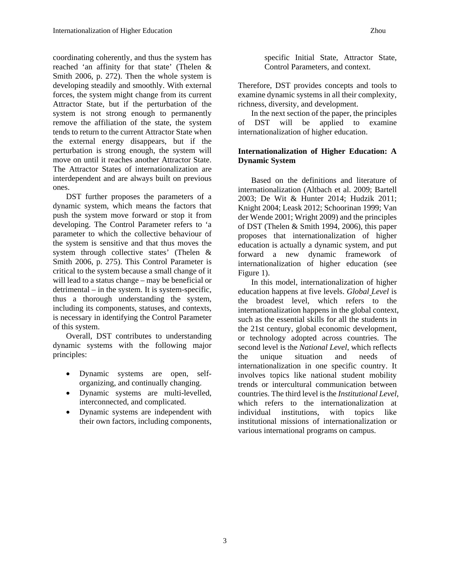coordinating coherently, and thus the system has reached 'an affinity for that state' (Thelen & Smith 2006, p. 272). Then the whole system is developing steadily and smoothly. With external forces, the system might change from its current Attractor State, but if the perturbation of the system is not strong enough to permanently remove the affiliation of the state, the system tends to return to the current Attractor State when the external energy disappears, but if the perturbation is strong enough, the system will move on until it reaches another Attractor State. The Attractor States of internationalization are interdependent and are always built on previous ones.

DST further proposes the parameters of a dynamic system, which means the factors that push the system move forward or stop it from developing. The Control Parameter refers to 'a parameter to which the collective behaviour of the system is sensitive and that thus moves the system through collective states' (Thelen & Smith 2006, p. 275). This Control Parameter is critical to the system because a small change of it will lead to a status change – may be beneficial or detrimental – in the system. It is system-specific, thus a thorough understanding the system, including its components, statuses, and contexts, is necessary in identifying the Control Parameter of this system.

Overall, DST contributes to understanding dynamic systems with the following major principles:

- Dynamic systems are open, selforganizing, and continually changing.
- Dynamic systems are multi-levelled, interconnected, and complicated.
- Dynamic systems are independent with their own factors, including components,

specific Initial State, Attractor State, Control Parameters, and context.

Therefore, DST provides concepts and tools to examine dynamic systems in all their complexity, richness, diversity, and development.

In the next section of the paper, the principles of DST will be applied to examine internationalization of higher education.

### **Internationalization of Higher Education: A Dynamic System**

Based on the definitions and literature of internationalization (Altbach et al. 2009; Bartell 2003; De Wit & Hunter 2014; Hudzik 2011; Knight 2004; Leask 2012; Schoorinan 1999; Van der Wende 2001; Wright 2009) and the principles of DST (Thelen & Smith 1994, 2006), this paper proposes that internationalization of higher education is actually a dynamic system, and put forward a new dynamic framework of internationalization of higher education (see Figure 1).

In this model, internationalization of higher education happens at five levels. *Global Level* is the broadest level, which refers to the internationalization happens in the global context, such as the essential skills for all the students in the 21st century, global economic development, or technology adopted across countries. The second level is the *National Level*, which reflects the unique situation and needs of internationalization in one specific country. It involves topics like national student mobility trends or intercultural communication between countries. The third level is the *Institutional Level*, which refers to the internationalization at individual institutions, with topics like institutional missions of internationalization or various international programs on campus.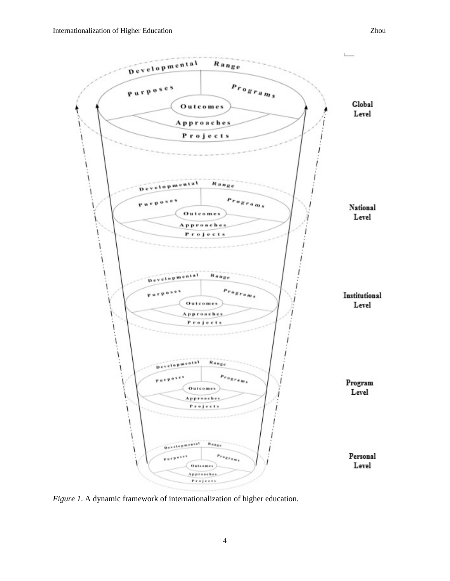

*Figure 1*. A dynamic framework of internationalization of higher education.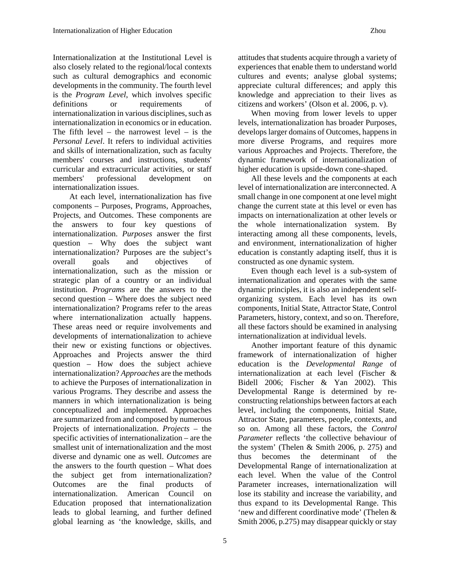Internationalization at the Institutional Level is also closely related to the regional/local contexts such as cultural demographics and economic developments in the community. The fourth level is the *Program Level*, which involves specific definitions or requirements of internationalization in various disciplines, such as internationalization in economics or in education. The fifth level – the narrowest level – is the *Personal Level*. It refers to individual activities and skills of internationalization, such as faculty members' courses and instructions, students' curricular and extracurricular activities, or staff members' professional development on internationalization issues.

At each level, internationalization has five components – Purposes, Programs, Approaches, Projects, and Outcomes. These components are the answers to four key questions of internationalization. *Purposes* answer the first question – Why does the subject want internationalization? Purposes are the subject's overall goals and objectives of internationalization, such as the mission or strategic plan of a country or an individual institution. *Programs* are the answers to the second question – Where does the subject need internationalization? Programs refer to the areas where internationalization actually happens. These areas need or require involvements and developments of internationalization to achieve their new or existing functions or objectives. Approaches and Projects answer the third question – How does the subject achieve internationalization? *Approaches* are the methods to achieve the Purposes of internationalization in various Programs. They describe and assess the manners in which internationalization is being conceptualized and implemented. Approaches are summarized from and composed by numerous Projects of internationalization. *Projects* – the specific activities of internationalization – are the smallest unit of internationalization and the most diverse and dynamic one as well. *Outcomes* are the answers to the fourth question – What does the subject get from internationalization? Outcomes are the final products of internationalization. American Council on Education proposed that internationalization leads to global learning, and further defined global learning as 'the knowledge, skills, and

attitudes that students acquire through a variety of experiences that enable them to understand world cultures and events; analyse global systems; appreciate cultural differences; and apply this knowledge and appreciation to their lives as citizens and workers' (Olson et al. 2006, p. v).

When moving from lower levels to upper levels, internationalization has broader Purposes, develops larger domains of Outcomes, happens in more diverse Programs, and requires more various Approaches and Projects. Therefore, the dynamic framework of internationalization of higher education is upside-down cone-shaped.

All these levels and the components at each level of internationalization are interconnected. A small change in one component at one level might change the current state at this level or even has impacts on internationalization at other levels or the whole internationalization system. By interacting among all these components, levels, and environment, internationalization of higher education is constantly adapting itself, thus it is constructed as one dynamic system.

Even though each level is a sub-system of internationalization and operates with the same dynamic principles, it is also an independent selforganizing system. Each level has its own components, Initial State, Attractor State, Control Parameters, history, context, and so on. Therefore, all these factors should be examined in analysing internationalization at individual levels.

Another important feature of this dynamic framework of internationalization of higher education is the *Developmental Range* of internationalization at each level (Fischer & Bidell 2006; Fischer & Yan 2002). This Developmental Range is determined by reconstructing relationships between factors at each level, including the components, Initial State, Attractor State, parameters, people, contexts, and so on. Among all these factors, the *Control Parameter* reflects 'the collective behaviour of the system' (Thelen & Smith 2006, p. 275) and thus becomes the determinant of the Developmental Range of internationalization at each level. When the value of the Control Parameter increases, internationalization will lose its stability and increase the variability, and thus expand to its Developmental Range. This 'new and different coordinative mode' (Thelen & Smith 2006, p.275) may disappear quickly or stay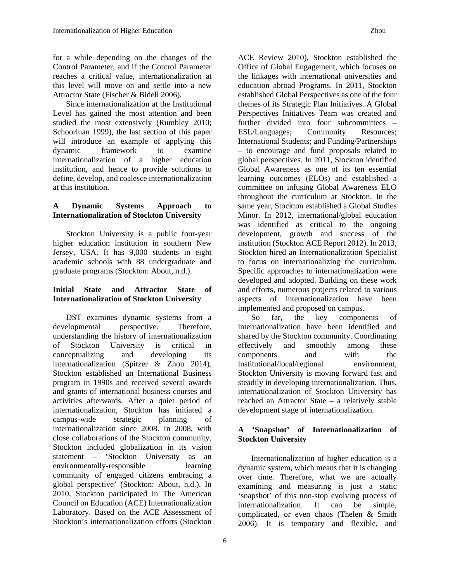for a while depending on the changes of the Control Parameter, and if the Control Parameter reaches a critical value, internationalization at this level will move on and settle into a new Attractor State (Fischer & Bidell 2006).

Since internationalization at the Institutional Level has gained the most attention and been studied the most extensively (Rumbley 2010; Schoorinan 1999), the last section of this paper will introduce an example of applying this dynamic framework to examine internationalization of a higher education institution, and hence to provide solutions to define, develop, and coalesce internationalization at this institution.

#### **A Dynamic Systems Approach to Internationalization of Stockton University**

Stockton University is a public four-year higher education institution in southern New Jersey, USA. It has 9,000 students in eight academic schools with 88 undergraduate and graduate programs (Stockton: About, n.d.).

#### **Initial State and Attractor State of Internationalization of Stockton University**

DST examines dynamic systems from a developmental perspective. Therefore, understanding the history of internationalization of Stockton University is critical in conceptualizing and developing its internationalization (Spitzer & Zhou 2014). Stockton established an International Business program in 1990s and received several awards and grants of international business courses and activities afterwards. After a quiet period of internationalization, Stockton has initiated a campus-wide strategic planning of internationalization since 2008. In 2008, with close collaborations of the Stockton community, Stockton included globalization in its vision statement – 'Stockton University as an environmentally-responsible learning community of engaged citizens embracing a global perspective' (Stockton: About, n.d.). In 2010, Stockton participated in The American Council on Education (ACE) Internationalization Laboratory. Based on the ACE Assessment of Stockton's internationalization efforts (Stockton

ACE Review 2010), Stockton established the Office of Global Engagement, which focuses on the linkages with international universities and education abroad Programs. In 2011, Stockton established Global Perspectives as one of the four themes of its Strategic Plan Initiatives. A Global Perspectives Initiatives Team was created and further divided into four subcommittees – ESL/Languages; Community Resources; International Students; and Funding/Partnerships – to encourage and fund proposals related to global perspectives. In 2011, Stockton identified Global Awareness as one of its ten essential learning outcomes (ELOs) and established a committee on infusing Global Awareness ELO throughout the curriculum at Stockton. In the same year, Stockton established a Global Studies Minor. In 2012, international/global education was identified as critical to the ongoing development, growth and success of the institution (Stockton ACE Report 2012). In 2013, Stockton hired an Internationalization Specialist to focus on internationalizing the curriculum. Specific approaches to internationalization were developed and adopted. Building on these work and efforts, numerous projects related to various aspects of internationalization have been implemented and proposed on campus.

So far, the key components of internationalization have been identified and shared by the Stockton community. Coordinating effectively and smoothly among these components and with the institutional/local/regional environment, Stockton University is moving forward fast and steadily in developing internationalization. Thus, internationalization of Stockton University has reached an Attractor State – a relatively stable development stage of internationalization.

### **A 'Snapshot' of Internationalization of Stockton University**

Internationalization of higher education is a dynamic system, which means that it is changing over time. Therefore, what we are actually examining and measuring is just a static 'snapshot' of this non-stop evolving process of internationalization. It can be simple, complicated, or even chaos (Thelen & Smith 2006). It is temporary and flexible, and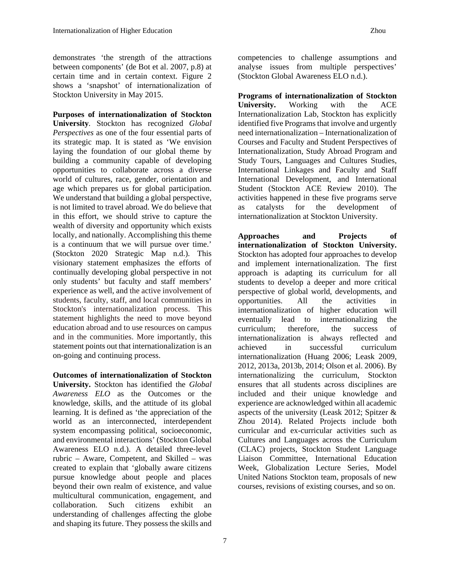demonstrates 'the strength of the attractions between components' (de Bot et al. 2007, p.8) at certain time and in certain context. Figure 2 shows a 'snapshot' of internationalization of Stockton University in May 2015.

**Purposes of internationalization of Stockton University***.* Stockton has recognized *Global Perspectives* as one of the four essential parts of its strategic map. It is stated as 'We envision laying the foundation of our global theme by building a community capable of developing opportunities to collaborate across a diverse world of cultures, race, gender, orientation and age which prepares us for global participation. We understand that building a global perspective, is not limited to travel abroad. We do believe that in this effort, we should strive to capture the wealth of diversity and opportunity which exists locally, and nationally. Accomplishing this theme is a continuum that we will pursue over time.' (Stockton 2020 Strategic Map n.d.). This visionary statement emphasizes the efforts of continually developing global perspective in not only students' but faculty and staff members' experience as well, and the active involvement of students, faculty, staff, and local communities in Stockton's internationalization process. This statement highlights the need to move beyond education abroad and to use resources on campus and in the communities. More importantly, this statement points out that internationalization is an on-going and continuing process.

**Outcomes of internationalization of Stockton University.** Stockton has identified the *Global Awareness ELO* as the Outcomes or the knowledge, skills, and the attitude of its global learning. It is defined as 'the appreciation of the world as an interconnected, interdependent system encompassing political, socioeconomic, and environmental interactions' (Stockton Global Awareness ELO n.d.). A detailed three-level rubric – Aware, Competent, and Skilled – was created to explain that 'globally aware citizens pursue knowledge about people and places beyond their own realm of existence, and value multicultural communication, engagement, and collaboration. Such citizens exhibit an understanding of challenges affecting the globe and shaping its future. They possess the skills and

competencies to challenge assumptions and analyse issues from multiple perspectives' (Stockton Global Awareness ELO n.d.).

**Programs of internationalization of Stockton University.** Working with the ACE Internationalization Lab, Stockton has explicitly identified five Programs that involve and urgently need internationalization – Internationalization of Courses and Faculty and Student Perspectives of Internationalization, Study Abroad Program and Study Tours, Languages and Cultures Studies, International Linkages and Faculty and Staff International Development, and International Student (Stockton ACE Review 2010). The activities happened in these five programs serve as catalysts for the development of internationalization at Stockton University.

**Approaches and Projects of internationalization of Stockton University.**  Stockton has adopted four approaches to develop and implement internationalization. The first approach is adapting its curriculum for all students to develop a deeper and more critical perspective of global world, developments, and opportunities. All the activities in internationalization of higher education will eventually lead to internationalizing the curriculum; therefore, the success of internationalization is always reflected and achieved in successful curriculum internationalization (Huang 2006; Leask 2009, 2012, 2013a, 2013b, 2014; Olson et al. 2006). By internationalizing the curriculum, Stockton ensures that all students across disciplines are included and their unique knowledge and experience are acknowledged within all academic aspects of the university (Leask 2012; Spitzer & Zhou 2014). Related Projects include both curricular and ex-curricular activities such as Cultures and Languages across the Curriculum (CLAC) projects, Stockton Student Language Liaison Committee, International Education Week, Globalization Lecture Series, Model United Nations Stockton team, proposals of new courses, revisions of existing courses, and so on.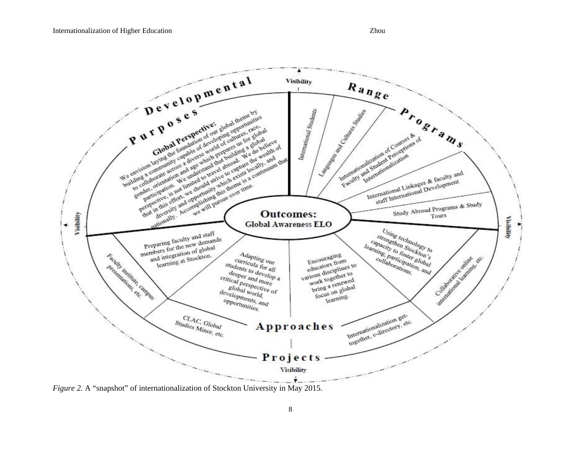

*Figure 2.* A "snapshot" of internationalization of Stockton University in May 2015.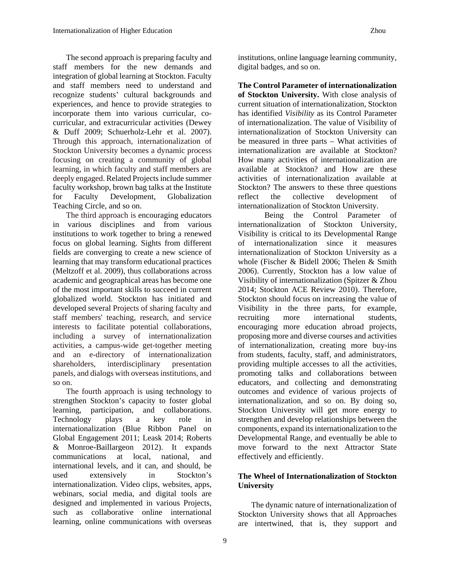The second approach is preparing faculty and staff members for the new demands and integration of global learning at Stockton. Faculty and staff members need to understand and recognize students' cultural backgrounds and experiences, and hence to provide strategies to incorporate them into various curricular, cocurricular, and extracurricular activities (Dewey & Duff 2009; Schuerholz-Lehr et al. 2007). Through this approach, internationalization of Stockton University becomes a dynamic process focusing on creating a community of global learning, in which faculty and staff members are deeply engaged. Related Projects include summer faculty workshop, brown bag talks at the Institute for Faculty Development, Globalization Teaching Circle, and so on.

The third approach is encouraging educators in various disciplines and from various institutions to work together to bring a renewed focus on global learning. Sights from different fields are converging to create a new science of learning that may transform educational practices (Meltzoff et al. 2009), thus collaborations across academic and geographical areas has become one of the most important skills to succeed in current globalized world. Stockton has initiated and developed several Projects of sharing faculty and staff members' teaching, research, and service interests to facilitate potential collaborations, including a survey of internationalization activities, a campus-wide get-together meeting and an e-directory of internationalization shareholders, interdisciplinary presentation panels, and dialogs with overseas institutions, and so on.

The fourth approach is using technology to strengthen Stockton's capacity to foster global learning, participation, and collaborations. Technology plays a key role in internationalization (Blue Ribbon Panel on Global Engagement 2011; Leask 2014; Roberts & Monroe-Baillargeon 2012). It expands communications at local, national, and international levels, and it can, and should, be used extensively in Stockton's internationalization. Video clips, websites, apps, webinars, social media, and digital tools are designed and implemented in various Projects, such as collaborative online international learning, online communications with overseas institutions, online language learning community, digital badges, and so on.

**The Control Parameter of internationalization of Stockton University.** With close analysis of current situation of internationalization, Stockton has identified *Visibility* as its Control Parameter of internationalization. The value of Visibility of internationalization of Stockton University can be measured in three parts – What activities of internationalization are available at Stockton? How many activities of internationalization are available at Stockton? and How are these activities of internationalization available at Stockton? The answers to these three questions reflect the collective development of internationalization of Stockton University.

Being the Control Parameter of internationalization of Stockton University, Visibility is critical to its Developmental Range of internationalization since it measures internationalization of Stockton University as a whole (Fischer & Bidell 2006; Thelen & Smith 2006). Currently, Stockton has a low value of Visibility of internationalization (Spitzer & Zhou 2014; Stockton ACE Review 2010). Therefore, Stockton should focus on increasing the value of Visibility in the three parts, for example, recruiting more international students, encouraging more education abroad projects, proposing more and diverse courses and activities of internationalization, creating more buy-ins from students, faculty, staff, and administrators, providing multiple accesses to all the activities, promoting talks and collaborations between educators, and collecting and demonstrating outcomes and evidence of various projects of internationalization, and so on. By doing so, Stockton University will get more energy to strengthen and develop relationships between the components, expand its internationalization to the Developmental Range, and eventually be able to move forward to the next Attractor State effectively and efficiently.

### **The Wheel of Internationalization of Stockton University**

The dynamic nature of internationalization of Stockton University shows that all Approaches are intertwined, that is, they support and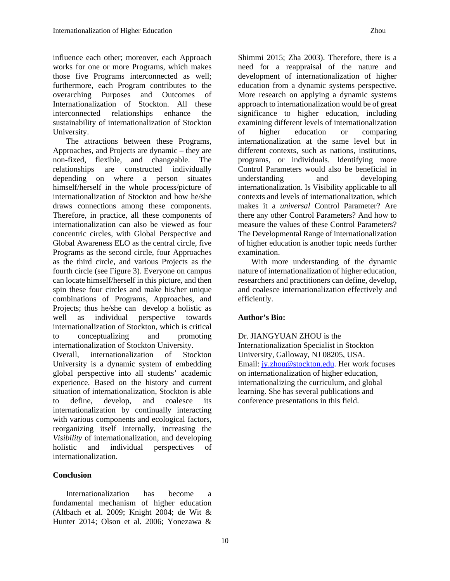influence each other; moreover, each Approach works for one or more Programs, which makes those five Programs interconnected as well; furthermore, each Program contributes to the overarching Purposes and Outcomes of Internationalization of Stockton. All these interconnected relationships enhance the sustainability of internationalization of Stockton University.

The attractions between these Programs, Approaches, and Projects are dynamic – they are non-fixed, flexible, and changeable. The relationships are constructed individually depending on where a person situates himself/herself in the whole process/picture of internationalization of Stockton and how he/she draws connections among these components. Therefore, in practice, all these components of internationalization can also be viewed as four concentric circles, with Global Perspective and Global Awareness ELO as the central circle, five Programs as the second circle, four Approaches as the third circle, and various Projects as the fourth circle (see Figure 3). Everyone on campus can locate himself/herself in this picture, and then spin these four circles and make his/her unique combinations of Programs, Approaches, and Projects; thus he/she can develop a holistic as well as individual perspective towards internationalization of Stockton, which is critical to conceptualizing and promoting internationalization of Stockton University.

Overall, internationalization of Stockton University is a dynamic system of embedding global perspective into all students' academic experience. Based on the history and current situation of internationalization, Stockton is able to define, develop, and coalesce its internationalization by continually interacting with various components and ecological factors, reorganizing itself internally, increasing the *Visibility* of internationalization, and developing holistic and individual perspectives of internationalization.

#### **Conclusion**

Internationalization has become a fundamental mechanism of higher education (Altbach et al. 2009; Knight 2004; de Wit & Hunter 2014; Olson et al. 2006; Yonezawa &

Shimmi 2015; Zha 2003). Therefore, there is a need for a reappraisal of the nature and development of internationalization of higher education from a dynamic systems perspective. More research on applying a dynamic systems approach to internationalization would be of great significance to higher education, including examining different levels of internationalization of higher education or comparing internationalization at the same level but in different contexts, such as nations, institutions, programs, or individuals. Identifying more Control Parameters would also be beneficial in understanding and developing internationalization. Is Visibility applicable to all contexts and levels of internationalization, which makes it a *universal* Control Parameter? Are there any other Control Parameters? And how to measure the values of these Control Parameters? The Developmental Range of internationalization of higher education is another topic needs further examination.

With more understanding of the dynamic nature of internationalization of higher education, researchers and practitioners can define, develop, and coalesce internationalization effectively and efficiently.

#### **Author's Bio:**

Dr. JIANGYUAN ZHOU is the Internationalization Specialist in Stockton University, Galloway, NJ 08205, USA. Email: jy.zhou@stockton.edu. Her work focuses on internationalization of higher education, internationalizing the curriculum, and global learning. She has several publications and conference presentations in this field.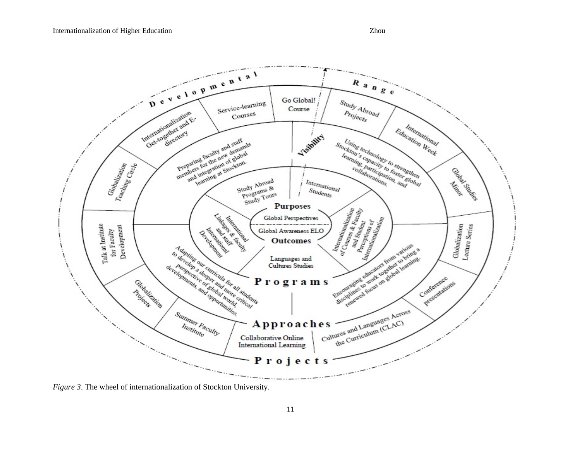

*Figure 3*. The wheel of internationalization of Stockton University.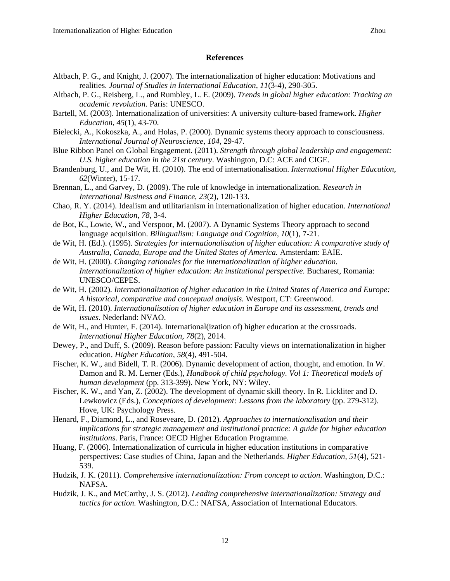#### **References**

- Altbach, P. G., and Knight, J. (2007). The internationalization of higher education: Motivations and realities. *Journal of Studies in International Education*, *11*(3-4), 290-305.
- Altbach, P. G., Reisberg, L., and Rumbley, L. E. (2009). *Trends in global higher education: Tracking an academic revolution*. Paris: UNESCO.
- Bartell, M. (2003). Internationalization of universities: A university culture-based framework. *Higher Education, 45*(1), 43-70.
- Bielecki, A., Kokoszka, A., and Holas, P. (2000). Dynamic systems theory approach to consciousness. *International Journal of Neuroscience*, *104*, 29-47.
- Blue Ribbon Panel on Global Engagement. (2011). *Strength through global leadership and engagement: U.S. higher education in the 21st century*. Washington, D.C: ACE and CIGE.
- Brandenburg, U., and De Wit, H. (2010). The end of internationalisation. *International Higher Education*, *62*(Winter), 15-17.
- Brennan, L., and Garvey, D. (2009). The role of knowledge in internationalization. *Research in International Business and Finance*, *23*(2), 120-133.
- Chao, R. Y. (2014). Idealism and utilitarianism in internationalization of higher education. *International Higher Education*, *78*, 3-4.
- de Bot, K., Lowie, W., and Verspoor, M. (2007). A Dynamic Systems Theory approach to second language acquisition. *Bilingualism: Language and Cognition*, *10*(1), 7-21.
- de Wit, H. (Ed.). (1995). *Strategies for internationalisation of higher education: A comparative study of Australia, Canada, Europe and the United States of America.* Amsterdam: EAIE.
- de Wit, H. (2000). *Changing rationales for the internationalization of higher education. Internationalization of higher education: An institutional perspective. Bucharest, Romania:* UNESCO/CEPES.
- de Wit, H. (2002). *Internationalization of higher education in the United States of America and Europe: A historical, comparative and conceptual analysis.* Westport, CT: Greenwood.
- de Wit, H. (2010). *Internationalisation of higher education in Europe and its assessment, trends and issues*. Nederland: NVAO.
- de Wit, H., and Hunter, F. (2014). International(ization of) higher education at the crossroads. *International Higher Education*, *78*(2), 2014.
- Dewey, P., and Duff, S. (2009). Reason before passion: Faculty views on internationalization in higher education. *Higher Education*, *58*(4), 491-504.
- Fischer, K. W., and Bidell, T. R. (2006). Dynamic development of action, thought, and emotion. In W. Damon and R. M. Lerner (Eds.), *Handbook of child psychology. Vol 1: Theoretical models of human development* (pp. 313-399). New York, NY: Wiley.
- Fischer, K. W., and Yan, Z. (2002). The development of dynamic skill theory. In R. Lickliter and D. Lewkowicz (Eds.), *Conceptions of development: Lessons from the laboratory* (pp. 279-312). Hove, UK: Psychology Press.
- Henard, F., Diamond, L., and Roseveare, D. (2012). *Approaches to internationalisation and their implications for strategic management and institutional practice: A guide for higher education institutions*. Paris, France: OECD Higher Education Programme.
- Huang, F. (2006). Internationalization of curricula in higher education institutions in comparative perspectives: Case studies of China, Japan and the Netherlands. *Higher Education, 51*(4), 521- 539.
- Hudzik, J. K. (2011). *Comprehensive internationalization: From concept to action*. Washington, D.C.: NAFSA.
- Hudzik, J. K., and McCarthy, J. S. (2012). *Leading comprehensive internationalization: Strategy and tactics for action.* Washington, D.C.: NAFSA, Association of International Educators.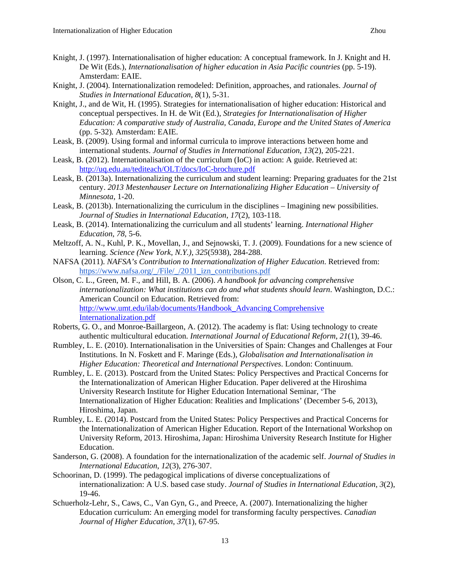- Knight, J. (2004). Internationalization remodeled: Definition, approaches, and rationales. *Journal of Studies in International Education*, *8*(1), 5-31.
- Knight, J., and de Wit, H. (1995). Strategies for internationalisation of higher education: Historical and conceptual perspectives. In H. de Wit (Ed.), *Strategies for Internationalisation of Higher Education: A comparative study of Australia, Canada, Europe and the United States of America* (pp. 5-32)*.* Amsterdam: EAIE.
- Leask, B. (2009). Using formal and informal curricula to improve interactions between home and international students. *Journal of Studies in International Education*, *13*(2), 205-221.
- Leask, B. (2012). Internationalisation of the curriculum (IoC) in action: A guide. Retrieved at: http://uq.edu.au/tediteach/OLT/docs/IoC-brochure.pdf
- Leask, B. (2013a). Internationalizing the curriculum and student learning: Preparing graduates for the 21st century. *2013 Mestenhauser Lecture on Internationalizing Higher Education – University of Minnesota*, 1-20.
- Leask, B. (2013b). Internationalizing the curriculum in the disciplines Imagining new possibilities. *Journal of Studies in International Education*, *17*(2), 103-118.
- Leask, B. (2014). Internationalizing the curriculum and all students' learning. *International Higher Education*, *78*, 5-6.
- Meltzoff, A. N., Kuhl, P. K., Movellan, J., and Sejnowski, T. J. (2009). Foundations for a new science of learning. *Science (New York, N.Y.)*, *325*(5938), 284-288.
- NAFSA (2011). *NAFSA's Contribution to Internationalization of Higher Education*. Retrieved from: https://www.nafsa.org/\_/File/\_/2011\_izn\_contributions.pdf
- Olson, C. L., Green, M. F., and Hill, B. A. (2006). *A handbook for advancing comprehensive internationalization: What institutions can do and what students should learn*. Washington, D.C.: American Council on Education. Retrieved from: http://www.umt.edu/ilab/documents/Handbook\_Advancing Comprehensive Internationalization.pdf
- Roberts, G. O., and Monroe-Baillargeon, A. (2012). The academy is flat: Using technology to create authentic multicultural education. *International Journal of Educational Reform*, *21*(1), 39-46.
- Rumbley, L. E. (2010). Internationalisation in the Universities of Spain: Changes and Challenges at Four Institutions. In N. Foskett and F. Maringe (Eds.), *Globalisation and Internationalisation in Higher Education: Theoretical and International Perspectives*. London: Continuum.
- Rumbley, L. E. (2013). Postcard from the United States: Policy Perspectives and Practical Concerns for the Internationalization of American Higher Education. Paper delivered at the Hiroshima University Research Institute for Higher Education International Seminar, 'The Internationalization of Higher Education: Realities and Implications' (December 5-6, 2013), Hiroshima, Japan.
- Rumbley, L. E. (2014). Postcard from the United States: Policy Perspectives and Practical Concerns for the Internationalization of American Higher Education. Report of the International Workshop on University Reform, 2013. Hiroshima, Japan: Hiroshima University Research Institute for Higher Education.
- Sanderson, G. (2008). A foundation for the internationalization of the academic self. *Journal of Studies in International Education*, *12*(3), 276-307.
- Schoorinan, D. (1999). The pedagogical implications of diverse conceptualizations of internationalization: A U.S. based case study. *Journal of Studies in International Education*, *3*(2), 19-46.
- Schuerholz-Lehr, S., Caws, C., Van Gyn, G., and Preece, A. (2007). Internationalizing the higher Education curriculum: An emerging model for transforming faculty perspectives. *Canadian Journal of Higher Education*, *37*(1), 67-95.